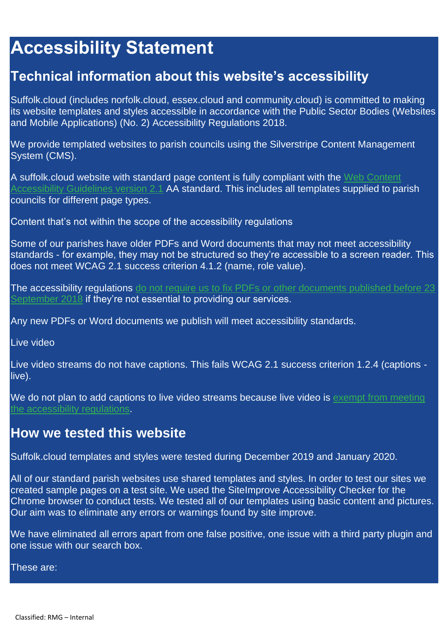## **Accessibility Statement**

## **Technical information about this website's accessibility**

Suffolk.cloud (includes norfolk.cloud, essex.cloud and community.cloud) is committed to making its website templates and styles accessible in accordance with the Public Sector Bodies (Websites and Mobile Applications) (No. 2) Accessibility Regulations 2018.

We provide templated websites to parish councils using the Silverstripe Content Management System (CMS).

A suffolk.cloud website with standard page content is fully compliant with the [Web Content](https://www.w3.org/TR/WCAG21/)  [Accessibility Guidelines version 2.1](https://www.w3.org/TR/WCAG21/) AA standard. This includes all templates supplied to parish councils for different page types.

Content that's not within the scope of the accessibility regulations

Some of our parishes have older PDFs and Word documents that may not meet accessibility standards - for example, they may not be structured so they're accessible to a screen reader. This does not meet WCAG 2.1 success criterion 4.1.2 (name, role value).

The accessibility regulations do not require us to fix PDFs or other documents published before 23 [September 2018](http://www.legislation.gov.uk/uksi/2018/952/regulation/4/made) if they're not essential to providing our services.

Any new PDFs or Word documents we publish will meet accessibility standards.

Live video

Live video streams do not have captions. This fails WCAG 2.1 success criterion 1.2.4 (captions live).

We do not plan to add captions to live video streams because live video is exempt from meeting [the accessibility regulations.](http://www.legislation.gov.uk/uksi/2018/952/regulation/4/made)

## **How we tested this website**

Suffolk.cloud templates and styles were tested during December 2019 and January 2020.

All of our standard parish websites use shared templates and styles. In order to test our sites we created sample pages on a test site. We used the SiteImprove Accessibility Checker for the Chrome browser to conduct tests. We tested all of our templates using basic content and pictures. Our aim was to eliminate any errors or warnings found by site improve.

We have eliminated all errors apart from one false positive, one issue with a third party plugin and one issue with our search box.

These are: